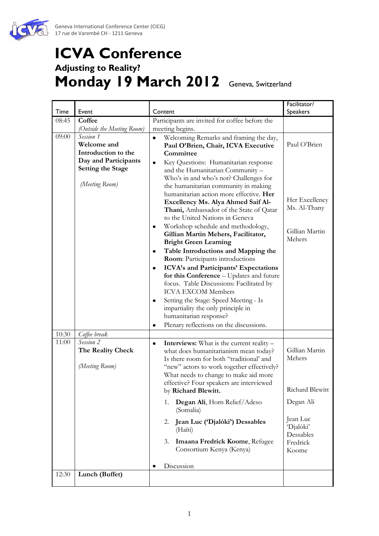

## **ICVA Conference Adjusting to Reality? Monday 19 March 2012** Geneva, Switzerland

|       |                                                                                                                                                     |                                                                                                                                                                                                                                                                                                                                                                                                                                                                                                                                                                                                                                                                                                                                                                                                                                                                                                                                            | Facilitator/                                                               |
|-------|-----------------------------------------------------------------------------------------------------------------------------------------------------|--------------------------------------------------------------------------------------------------------------------------------------------------------------------------------------------------------------------------------------------------------------------------------------------------------------------------------------------------------------------------------------------------------------------------------------------------------------------------------------------------------------------------------------------------------------------------------------------------------------------------------------------------------------------------------------------------------------------------------------------------------------------------------------------------------------------------------------------------------------------------------------------------------------------------------------------|----------------------------------------------------------------------------|
| Time  | Event                                                                                                                                               | Content                                                                                                                                                                                                                                                                                                                                                                                                                                                                                                                                                                                                                                                                                                                                                                                                                                                                                                                                    | <b>Speakers</b>                                                            |
| 08:45 | Coffee                                                                                                                                              | Participants are invited for coffee before the                                                                                                                                                                                                                                                                                                                                                                                                                                                                                                                                                                                                                                                                                                                                                                                                                                                                                             |                                                                            |
| 09:00 | (Outside the Meeting Room)<br>Session 1<br>Welcome and<br>Introduction to the<br>Day and Participants<br><b>Setting the Stage</b><br>(Meeting Room) | meeting begins.<br>Welcoming Remarks and framing the day,<br>$\bullet$<br>Paul O'Brien, Chair, ICVA Executive<br>Committee<br>Key Questions: Humanitarian response<br>٠<br>and the Humanitarian Community -<br>Who's in and who's not? Challenges for<br>the humanitarian community in making<br>humanitarian action more effective. Her<br>Excellency Ms. Alya Ahmed Saif Al-<br>Thani, Ambassador of the State of Qatar<br>to the United Nations in Geneva<br>Workshop schedule and methodology,<br>Gillian Martin Mehers, Facilitator,<br><b>Bright Green Learning</b><br>Table Introductions and Mapping the<br>٠<br>Room: Participants introductions<br>ICVA's and Participants' Expectations<br>٠<br>for this Conference - Updates and future<br>focus. Table Discussions: Facilitated by<br><b>ICVA EXCOM Members</b><br>Setting the Stage: Speed Meeting - Is<br>٠<br>impartiality the only principle in<br>humanitarian response? | Paul O'Brien<br>Her Excellency<br>Ms. Al-Thany<br>Gillian Martin<br>Mehers |
| 10:30 | Coffee break                                                                                                                                        | Plenary reflections on the discussions.<br>٠                                                                                                                                                                                                                                                                                                                                                                                                                                                                                                                                                                                                                                                                                                                                                                                                                                                                                               |                                                                            |
| 11:00 | Session 2<br>The Reality Check<br>(Meeting Room)                                                                                                    | <b>Interviews:</b> What is the current reality -<br>٠<br>what does humanitarianism mean today?<br>Is there room for both "traditional' and<br>"new" actors to work together effectively?<br>What needs to change to make aid more<br>effective? Four speakers are interviewed<br>by Richard Blewitt.                                                                                                                                                                                                                                                                                                                                                                                                                                                                                                                                                                                                                                       | Gillian Martin<br>Mehers<br>Richard Blewitt                                |
|       |                                                                                                                                                     | Degan Ali, Horn Relief/Adeso<br>1.<br>(Somalia)                                                                                                                                                                                                                                                                                                                                                                                                                                                                                                                                                                                                                                                                                                                                                                                                                                                                                            | Degan Ali                                                                  |
|       |                                                                                                                                                     | 2.<br>Jean Luc ('Djalòki') Dessables<br>(Haïti)<br>Imaana Fredrick Koome, Refugee<br>3.<br>Consortium Kenya (Kenya)                                                                                                                                                                                                                                                                                                                                                                                                                                                                                                                                                                                                                                                                                                                                                                                                                        | Jean Luc<br>'Djalòki'<br>Dessables<br>Fredrick<br>Koome                    |
|       |                                                                                                                                                     | Discussion                                                                                                                                                                                                                                                                                                                                                                                                                                                                                                                                                                                                                                                                                                                                                                                                                                                                                                                                 |                                                                            |
| 12:30 | Lunch (Buffet)                                                                                                                                      |                                                                                                                                                                                                                                                                                                                                                                                                                                                                                                                                                                                                                                                                                                                                                                                                                                                                                                                                            |                                                                            |